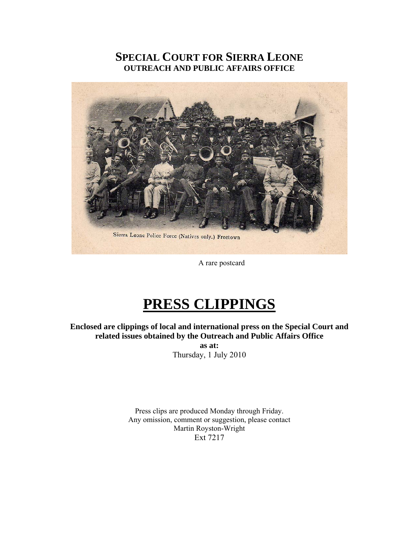# **SPECIAL COURT FOR SIERRA LEONE OUTREACH AND PUBLIC AFFAIRS OFFICE**



A rare postcard

# **PRESS CLIPPINGS**

**Enclosed are clippings of local and international press on the Special Court and related issues obtained by the Outreach and Public Affairs Office** 

> **as at:**  Thursday, 1 July 2010

Press clips are produced Monday through Friday. Any omission, comment or suggestion, please contact Martin Royston-Wright Ext 7217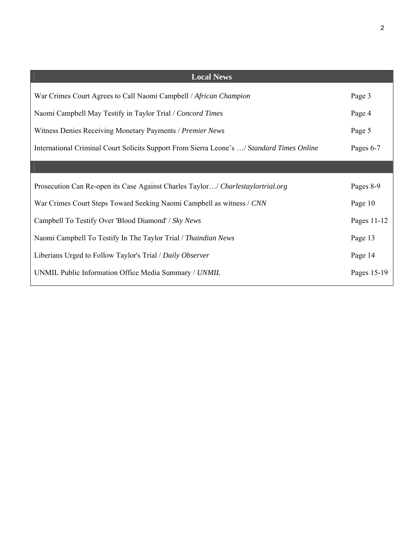| <b>Local News</b>                                                                         |             |  |  |  |
|-------------------------------------------------------------------------------------------|-------------|--|--|--|
| War Crimes Court Agrees to Call Naomi Campbell / African Champion                         |             |  |  |  |
| Naomi Campbell May Testify in Taylor Trial / Concord Times                                |             |  |  |  |
| Witness Denies Receiving Monetary Payments / Premier News                                 |             |  |  |  |
| International Criminal Court Solicits Support From Sierra Leone's / Standard Times Online |             |  |  |  |
|                                                                                           |             |  |  |  |
| Prosecution Can Re-open its Case Against Charles Taylor/ Charlestaylortrial.org           | Pages 8-9   |  |  |  |
| War Crimes Court Steps Toward Seeking Naomi Campbell as witness / CNN                     |             |  |  |  |
| Campbell To Testify Over 'Blood Diamond' / Sky News                                       |             |  |  |  |
| Naomi Campbell To Testify In The Taylor Trial / Thaindian News                            |             |  |  |  |
| Liberians Urged to Follow Taylor's Trial / Daily Observer                                 | Page 14     |  |  |  |
| UNMIL Public Information Office Media Summary / UNMIL                                     | Pages 15-19 |  |  |  |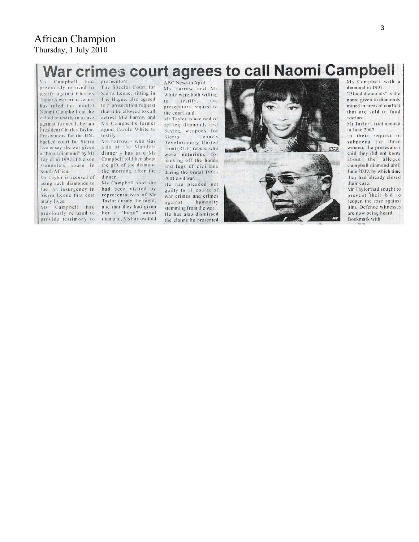## War crimes court agrees to call Naomi Campbell Ms Campbell had prosecutors.

previously refused to testify against Charles Taylor A war crimes court has ruled that model Naomi Campbell can be called to testify in a case against former Liberian President Charles Taylor. Prosecutors for the UNbacked court for Sierra Leone say she was given a "blood diamond" by Mr Taylor in 1997 at Nelson Mandela's house in South Africa.

Mr Taylor is accused of using such diamonds to fuel an insurgency in Sierra Leone that cost many lives.

Ms Campbell had previously refused to provide testimony to

The Special Court for Sierra Leone, sitting in The Hague, also agreed to a prosecution request that it be allowed to call actress Mia Farrow and Ms Campbell's former agent Carole White to testify.

Ms Farrow - who was also at the Mandela dinner - has said Ms Campbell told her about the gift of the diamond the morning after the dinner.

Ms Campbell said she had been visited by representatives of Mr Taylor during the night, and that they had given her a "huge" uncut diamond, Ms Farrow told

ABC News in April. Ms Farrow and Ms White were both willing  $10$ testify. the

prosecutors' request to the court said. Mr Taylor is accused of

selling diamonds and buying weapons for Sierra Leone's Revolutionary United Front (RUF) rebels, who were notorious for hacking off the hands and legs of civilians during the brutal 1991-2001 civil war.

He has pleaded not guilty to 11 counts of war crimes and crimes against humanity stemming from the war. He has also dismissed the claims he presented



Ms Campbell with a diamond in 1997.

"Blood diamonds" is the name given to diamonds mined in areas of conflict that are sold to fund warfare.

Mr Taylor's trial opened in June 2007.

In their request to subpoena the three women, the prosecutors said they did not know about the alleged Campbell diamond until June 2009, by which time they had already closed their case.

Mr Taylor had sought to prevent their bid to reopen the case against him. Defence witnesses are now being heard. Bookmark with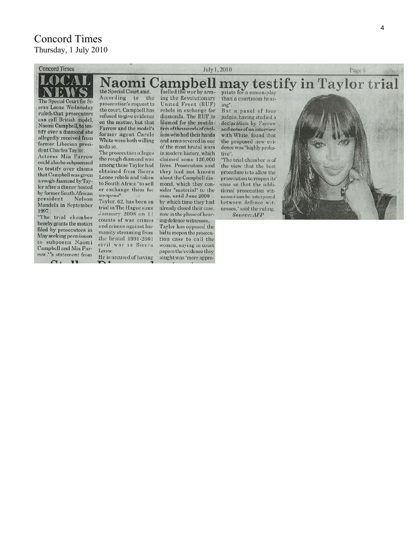| <b>Concord Times</b>                                                                                                                                                                                                                                                                                                                                                                                                                                                                                                                                                                                                                                                                                        | July 1, 2010                                                                                                                                                                                                                                                                                                                                                                                                                                                                                                                                                                                                                                                                               |                                                                                                                                                                                                                                                                                                                                                                                                                                                                                                                                                                                                                                                                                                                                           |                                                                                                                                                                                                                                                                                                                                                                                                                                                                                                                                            | Page 6                                     |  |  |
|-------------------------------------------------------------------------------------------------------------------------------------------------------------------------------------------------------------------------------------------------------------------------------------------------------------------------------------------------------------------------------------------------------------------------------------------------------------------------------------------------------------------------------------------------------------------------------------------------------------------------------------------------------------------------------------------------------------|--------------------------------------------------------------------------------------------------------------------------------------------------------------------------------------------------------------------------------------------------------------------------------------------------------------------------------------------------------------------------------------------------------------------------------------------------------------------------------------------------------------------------------------------------------------------------------------------------------------------------------------------------------------------------------------------|-------------------------------------------------------------------------------------------------------------------------------------------------------------------------------------------------------------------------------------------------------------------------------------------------------------------------------------------------------------------------------------------------------------------------------------------------------------------------------------------------------------------------------------------------------------------------------------------------------------------------------------------------------------------------------------------------------------------------------------------|--------------------------------------------------------------------------------------------------------------------------------------------------------------------------------------------------------------------------------------------------------------------------------------------------------------------------------------------------------------------------------------------------------------------------------------------------------------------------------------------------------------------------------------------|--------------------------------------------|--|--|
| CAL<br>The Special Court for Si-<br>erra Leone Wednesday<br>ruled, that prosecutors<br>can call British model.<br>Naomi Campbell, to tes-<br>tify over a diamond she<br>allegedly received from<br>former Liberian presi-<br>dent Charles Taylor.<br><b>Actress Mia Farrow</b><br>could also be subpoenaed<br>to testify over claims<br>that Campbell was given<br>a rough diamond by Tay-<br>lor after a dinner hosted<br>by former South African<br>president<br>Nelson<br>Mandela in September<br>1997.<br>"The trial chamber<br>hereby grants the motion<br>filed by prosecutors in<br>May seeking permission<br>to subpoena Naomi<br>Campbell and Mia Far-<br>row,"'a statement from<br>$\Omega$<br>11 | According to<br>the<br>prosecution's request to<br>the court, Campbell has<br>refused to give evidence<br>on the matter, but that<br>Farrow and the model's<br>former agent Carole<br>White were both willing<br>to do so.<br>The prosecution alleges<br>the rough diamond was<br>among those Taylor had<br>obtained from Sierra<br>Leone rebels and taken<br>to South Africa "to sell<br>or exchange them for<br>weapons".<br>Taylor, 62, has been on<br>trial in The Hague since<br>January 2008 on 11<br>counts of war crimes<br>and crimes against hu-<br>manity stemming from<br>the brutal $1991-2001$<br>civil war in Sierra<br>Leone.<br>He is accused of having<br>$\mathbf{r}$ . | ing the Revolutionary<br>United Front (RUF)<br>rebels in exchange for<br>diamonds. The RUF is<br>blamed for the mutila-<br>tion of thousands of civil-<br>ians who had their hands<br>and arms severed in one<br>of the most brutal wars<br>in modern history, which<br>claimed some 120,000<br>lives. Prosecutors said<br>they had not known<br>about the Campbell dia-<br>mond, which they con-<br>sider "material" to the<br>case, until June 2009 --<br>by which time they had<br>already closed their case,<br>now in the phase of hear-<br>ing defence witnesses.<br>Taylor has opposed the<br>bid to reopen the prosecu-<br>tion case to call the<br>women, saying in court<br>papers the evidence they<br>sought was "more appro- | priate for a screen-play<br>than a courtroom hear-<br>ing".<br>But a panel of four<br>judges, having studied a<br>declaration by Farrow<br>and notes of an interview<br>with White, found that<br>the proposed new evi-<br>dence was "highly proba-<br>tive".<br>"The trial chamber is of<br>the view that the best<br>procedure is to allow the<br>prosecution to reopen its'<br>case so that the addi-<br>tional prosecution wit-<br>nesses can be interposed<br>between defence wit-<br>nesses," said the ruling.<br><b>Source: AFP</b> | Maomi Campbell may testify in Taylor trial |  |  |
|                                                                                                                                                                                                                                                                                                                                                                                                                                                                                                                                                                                                                                                                                                             |                                                                                                                                                                                                                                                                                                                                                                                                                                                                                                                                                                                                                                                                                            |                                                                                                                                                                                                                                                                                                                                                                                                                                                                                                                                                                                                                                                                                                                                           |                                                                                                                                                                                                                                                                                                                                                                                                                                                                                                                                            |                                            |  |  |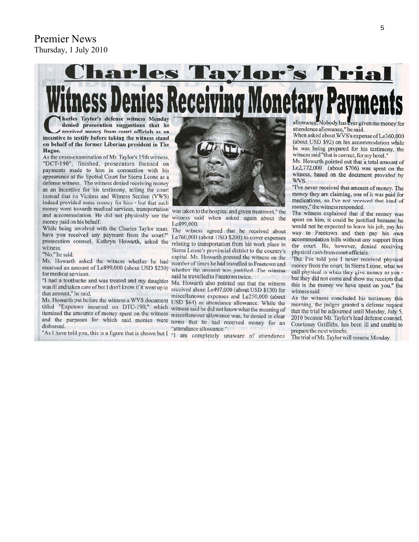## Premier News Thursday, 1 July 2010

# les V Ial Ha

harles Taylor's defense witness Monday denied prosecution suggestions that he received money from court officials as an incentive to testify before taking the witness stand on behalf of the former Liberian president in The Hague.

As the cross-examination of Mr. Taylor's 15th witness, "DCT-190", finished, prosecutors focused on payments made to him in connection with his appearance at the Special Court for Sierra Leone as a defense witness. The witness denied receiving money as an incentive for his testimony, telling the court instead that its Victims and Witness Section (VWS) indeed provided some money for him - but that such money went towards medical services, transportation and accommodation. He did not physically see the money paid on his behalf.

Let be the charles Taylor team. Let the series agreed that he received about<br>while being involved with the Charles Taylor team, The witness agreed that he received about<br>have you received any navment from the court?" x z have you received any payment from the court?" prosecution counsel, Kathryn Howarth, asked the witness

"No," he said.

Ms. Howarth asked the witness whether he had received an amount of Le899,000 (about USD \$230) for medical services.

"I had a toothache and was treated and my daughter was ill and taken care of but I don't know if it went up to that amount," he said.

that it was provided in the second of the second of the second of the second of the second of the second of the second of the second of the second of the second of the second of the second of the second of the second of th the mixed the amounts of money spent on the witness said he did not know what the meaning of<br>attemized the amounts of money spent on the witness miscellaneous allowance was, he denied in clear<br>and the purposes for which sa and the purposes for which said monies were disbursed.



was taken to the hospital and given treatment," the witness said when asked again about the Le899,000.

Le760,000 (about USD \$200) to cover expenses relating to transportation from his work place in Sierra Leone's provincial district to the country's capital. Ms. Howarth pressed the witness on the number of times he had travelled to Freetown and whether the amount was justified. The witness said he travelled to Freetown twice.

Ms. Howarth also pointed out that the witness received about Le497,000 (about USD \$130) for miscellaneous expenses and Le250,000 (about miscellaneous expenses and Le250,000 (about<br>Ms. Howarth put before the witness a WVS document USD \$64) as attendance allowance. While the<br>tilled "Expenses incurred on DTC 190" which USD \$64) as attendance allowance. While terms that he had received money for an "attendance allowance." "As I have told you, this is a figure that is shown but I "I am completely unaware of attendance"

allowance. Nobody has ever given me money for attendance allowance," he said.

When asked about WVS's expense of Le360,000 (about USD \$92) on his accommodation while he was being prepared for his testimony, the witness said "that is correct, for my hotel."

Ms. Howarth pointed out that a total amount of Le $2,772,000$  (about \$706) was spent on the witness, based on the document provided by WVS.

"I've never received that amount of money. The money they are claiming, one of it was paid for medications, so I've not received that kind of money," the witness responded.

The witness explained that if the money was spent on him, it could be justified because he would not be expected to leave his job, pay his way to Freetown and then pay his own accommodation bills without any support from the court. He, however, denied receiving physical cash from court officials.

"But I've told you I never received physical money from the court. In Sierra Leone, what we call physical is when they give money to you but they did not come and show me receipts that this is the money we have spent on you," the witness said.

As the witness concluded his testimony this morning, the judges granted a defense request that the trial be adjourned until Monday, July 5, 2010 because Mr. Taylor's lead defense counsel, Courtenay Griffiths, has been ill and unable to prepare the next witness.

The trial of Mr. Taylor will resume Monday.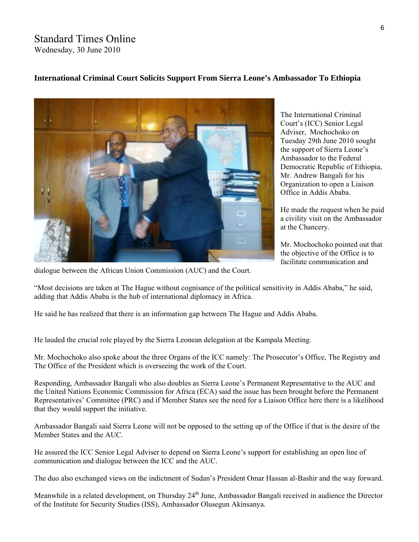## Standard Times Online

Wednesday, 30 June 2010

## **International Criminal Court Solicits Support From Sierra Leone's Ambassador To Ethiopia**



The International Criminal Court's (ICC) Senior Legal Adviser, Mochochoko on Tuesday 29th June 2010 sought the support of Sierra Leone's Ambassador to the Federal Democratic Republic of Ethiopia, Mr. Andrew Bangali for his Organization to open a Liaison Office in Addis Ababa.

He made the request when he p aid a civility visit on the Amba ssador at the Chancery.

Mr. Mochochoko pointed out that the objective of the Office is to facilitate communication and

dialogue between the African Union Commission (AUC) and the Court.

"Most decisions are taken at The Hague without cognisance of the political sensitivity in Addis Ababa," he said, adding that Addis Ababa is the hub of international diplomacy in Africa.

He said he has realized that there is an information gap between The Hague and Addis Ababa.

He lauded the crucial role played by the Sierra Leonean delegation at the Kampala Meeting.

Mr. Mochochoko also spoke about the three Organs of the ICC namely: The Prosecutor's Office, The Registry and The Office of the President which is overseeing the work of the Court.

Responding, Ambassador Bangali who also doubles as Sierra Leone's Permanent Representative to the AUC and the United Nations Economic Commission for Africa (ECA) said the issue has been brought before the Permanent Representatives' Committee (PRC) and if Member States see the need for a Liaison Office here there is a likelihood that they would support the initiative.

Ambassador Bangali said Sierra Leone will not be opposed to the setting up of the Office if that is the desire of the Member States and the AUC.

He assured the ICC Senior Legal Adviser to depend on Sierra Leone's support for establishing an open line of communication and dialogue between the ICC and the AUC.

The duo also exchanged views on the indictment of Sudan's President Omar Hassan al-Bashir and the way forward.

Meanwhile in a related development, on Thursday 24<sup>th</sup> June, Ambassador Bangali received in audience the Director of the Institute for Security Studies (ISS), Ambassador Olusegun Akinsanya.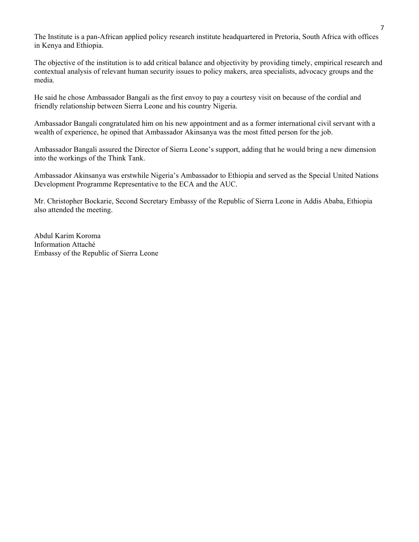The Institute is a pan-African applied policy research institute headquartered in Pretoria, South Africa with offices in Kenya and Ethiopia.

The objective of the institution is to add critical balance and objectivity by providing timely, empirical research and contextual analysis of relevant human security issues to policy makers, area specialists, advocacy groups and the media.

He said he chose Ambassador Bangali as the first envoy to pay a courtesy visit on because of the cordial and friendly relationship between Sierra Leone and his country Nigeria.

Ambassador Bangali congratulated him on his new appointment and as a former international civil servant with a wealth of experience, he opined that Ambassador Akinsanya was the most fitted person for the job.

Ambassador Bangali assured the Director of Sierra Leone's support, adding that he would bring a new dimension into the workings of the Think Tank.

Ambassador Akinsanya was erstwhile Nigeria's Ambassador to Ethiopia and served as the Special United Nations Development Programme Representative to the ECA and the AUC.

Mr. Christopher Bockarie, Second Secretary Embassy of the Republic of Sierra Leone in Addis Ababa, Ethiopia also attended the meeting.

Abdul Karim Koroma Information Attaché Embassy of the Republic of Sierra Leone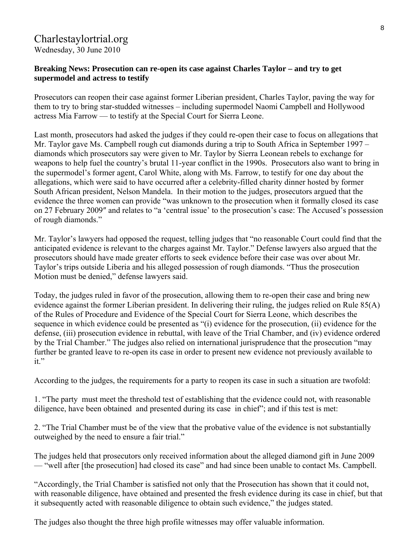## Charlestaylortrial.org Wednesday, 30 June 2010

## **Breaking News: Prosecution can re-open its case against Charles Taylor – and try to get supermodel and actress to testify**

Prosecutors can reopen their case against former Liberian president, Charles Taylor, paving the way for them to try to bring star-studded witnesses – including supermodel Naomi Campbell and Hollywood actress Mia Farrow — to testify at the Special Court for Sierra Leone.

Last month, prosecutors had asked the judges if they could re-open their case to focus on allegations that Mr. Taylor gave Ms. Campbell rough cut diamonds during a trip to South Africa in September 1997 – diamonds which prosecutors say were given to Mr. Taylor by Sierra Leonean rebels to exchange for weapons to help fuel the country's brutal 11-year conflict in the 1990s. Prosecutors also want to bring in the supermodel's former agent, Carol White, along with Ms. Farrow, to testify for one day about the allegations, which were said to have occurred after a celebrity-filled charity dinner hosted by former South African president, Nelson Mandela. In their motion to the judges, prosecutors argued that the evidence the three women can provide "was unknown to the prosecution when it formally closed its case on 27 February 2009″ and relates to "a 'central issue' to the prosecution's case: The Accused's possession of rough diamonds."

Mr. Taylor's lawyers had opposed the request, telling judges that "no reasonable Court could find that the anticipated evidence is relevant to the charges against Mr. Taylor." Defense lawyers also argued that the prosecutors should have made greater efforts to seek evidence before their case was over about Mr. Taylor's trips outside Liberia and his alleged possession of rough diamonds. "Thus the prosecution Motion must be denied," defense lawyers said.

Today, the judges ruled in favor of the prosecution, allowing them to re-open their case and bring new evidence against the former Liberian president. In delivering their ruling, the judges relied on Rule 85(A) of the Rules of Procedure and Evidence of the Special Court for Sierra Leone, which describes the sequence in which evidence could be presented as "(i) evidence for the prosecution, (ii) evidence for the defense, (iii) prosecution evidence in rebuttal, with leave of the Trial Chamber, and (iv) evidence ordered by the Trial Chamber." The judges also relied on international jurisprudence that the prosecution "may further be granted leave to re-open its case in order to present new evidence not previously available to it."

According to the judges, the requirements for a party to reopen its case in such a situation are twofold:

1. "The party must meet the threshold test of establishing that the evidence could not, with reasonable diligence, have been obtained and presented during its case in chief"; and if this test is met:

2. "The Trial Chamber must be of the view that the probative value of the evidence is not substantially outweighed by the need to ensure a fair trial."

The judges held that prosecutors only received information about the alleged diamond gift in June 2009 — "well after [the prosecution] had closed its case" and had since been unable to contact Ms. Campbell.

"Accordingly, the Trial Chamber is satisfied not only that the Prosecution has shown that it could not, with reasonable diligence, have obtained and presented the fresh evidence during its case in chief, but that it subsequently acted with reasonable diligence to obtain such evidence," the judges stated.

The judges also thought the three high profile witnesses may offer valuable information.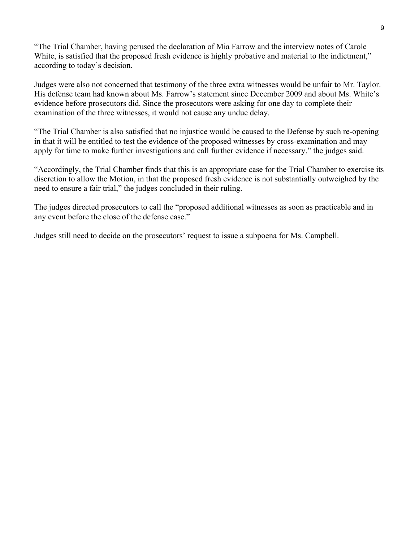"The Trial Chamber, having perused the declaration of Mia Farrow and the interview notes of Carole White, is satisfied that the proposed fresh evidence is highly probative and material to the indictment," according to today's decision.

Judges were also not concerned that testimony of the three extra witnesses would be unfair to Mr. Taylor. His defense team had known about Ms. Farrow's statement since December 2009 and about Ms. White's evidence before prosecutors did. Since the prosecutors were asking for one day to complete their examination of the three witnesses, it would not cause any undue delay.

"The Trial Chamber is also satisfied that no injustice would be caused to the Defense by such re-opening in that it will be entitled to test the evidence of the proposed witnesses by cross-examination and may apply for time to make further investigations and call further evidence if necessary," the judges said.

"Accordingly, the Trial Chamber finds that this is an appropriate case for the Trial Chamber to exercise its discretion to allow the Motion, in that the proposed fresh evidence is not substantially outweighed by the need to ensure a fair trial," the judges concluded in their ruling.

The judges directed prosecutors to call the "proposed additional witnesses as soon as practicable and in any event before the close of the defense case."

Judges still need to decide on the prosecutors' request to issue a subpoena for Ms. Campbell.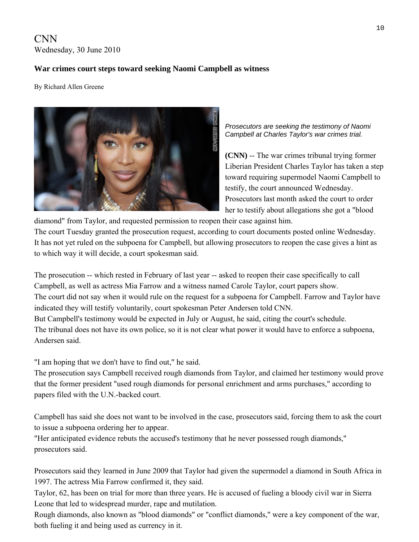CNN Wednesday, 30 June 2010

## **War crimes court steps toward seeking Naomi Campbell as witness**

By Richard Allen Greene



*Prosecutors are seeking the testimony of Naomi Campbell at Charles Taylor's war crimes trial.* 

**(CNN)** -- The war crimes tribunal trying former Liberian President Charles Taylor has taken a step toward requiring supermodel Naomi Campbell to testify, the court announced Wednesday. Prosecutors last month asked the court to order her to testify about allegations she got a "blood

diamond" from Taylor, and requested permission to reopen their case against him. The court Tuesday granted the prosecution request, according to court documents posted online Wednesday. It has not yet ruled on the subpoena for Campbell, but allowing prosecutors to reopen the case gives a hint as to which way it will decide, a court spokesman said.

The prosecution -- which rested in February of last year -- asked to reopen their case specifically to call Campbell, as well as actress Mia Farrow and a witness named Carole Taylor, court papers show. The court did not say when it would rule on the request for a subpoena for Campbell. Farrow and Taylor have indicated they will testify voluntarily, court spokesman Peter Andersen told CNN. But Campbell's testimony would be expected in July or August, he said, citing the court's schedule. The tribunal does not have its own police, so it is not clear what power it would have to enforce a subpoena, Andersen said.

"I am hoping that we don't have to find out," he said.

The prosecution says Campbell received rough diamonds from Taylor, and claimed her testimony would prove that the former president "used rough diamonds for personal enrichment and arms purchases," according to papers filed with the U.N.-backed court.

Campbell has said she does not want to be involved in the case, prosecutors said, forcing them to ask the court to issue a subpoena ordering her to appear.

"Her anticipated evidence rebuts the accused's testimony that he never possessed rough diamonds," prosecutors said.

Prosecutors said they learned in June 2009 that Taylor had given the supermodel a diamond in South Africa in 1997. The actress Mia Farrow confirmed it, they said.

Taylor, 62, has been on trial for more than three years. He is accused of fueling a bloody civil war in Sierra Leone that led to widespread murder, rape and mutilation.

Rough diamonds, also known as "blood diamonds" or "conflict diamonds," were a key component of the war, both fueling it and being used as currency in it.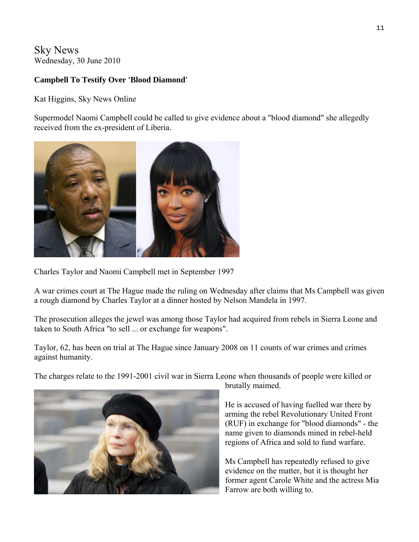Wednesday, 30 June 2010 Sky News

## **Campbell To Testify Over 'Blood Diamond'**

Kat Higgins, Sky News Online

Supermodel Naomi Campbell could be called to give evidence about a "blood diamond" she allegedly received from the ex-president of Liberia.



Charles Taylor and Naomi Campbell met in September 1997

A war crimes court at The Hague made the ruling on Wednesday after claims that Ms Campbell was given a rough diamond by Charles Taylor at a dinner hosted by Nelson Mandela in 1997.

The prosecution alleges the jewel was among those Taylor had acquired from rebels in Sierra Leone and taken to South Africa "to sell ... or exchange for weapons".

Taylor, 62, has been on trial at The Hague since January 2008 on 11 counts of war crimes and crimes against humanity.

The charges relate to the 1991-2001 civil war in Sierra Leone when thousands of people were killed or



brutally maimed.

He is accused of having fuelled war there by arming the rebel Revolutionary United Front (RUF) in exchange for "blood diamonds" - the name given to diamonds mined in rebel-held regions of Africa and sold to fund warfare.

Ms Campbell has repeatedly refused to give evidence on the matter, but it is thought her former agent Carole White and the actress Mia Farrow are both willing to.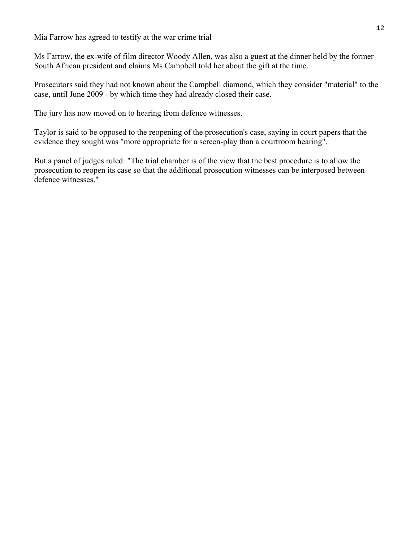Mia Farrow has agreed to testify at the war crime trial

Ms Farrow, the ex-wife of film director Woody Allen, was also a guest at the dinner held by the former South African president and claims Ms Campbell told her about the gift at the time.

Prosecutors said they had not known about the Campbell diamond, which they consider "material" to the case, until June 2009 - by which time they had already closed their case.

The jury has now moved on to hearing from defence witnesses.

Taylor is said to be opposed to the reopening of the prosecution's case, saying in court papers that the evidence they sought was "more appropriate for a screen-play than a courtroom hearing".

But a panel of judges ruled: "The trial chamber is of the view that the best procedure is to allow the prosecution to reopen its case so that the additional prosecution witnesses can be interposed between defence witnesses."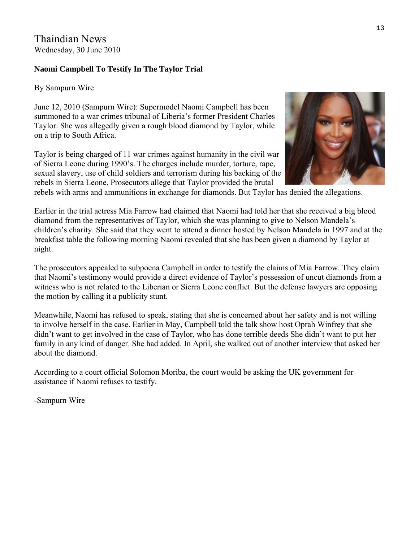## **Naomi Campbell To Testify In The Taylor Trial**

By Sampurn Wire

summoned to a war crimes tribunal of Liberia's former President Charles June 12, 2010 (Sampurn Wire): Supermodel Naomi Campbell has been Taylor. She was allegedly given a rough blood diamond by Taylor, while on a trip to South Africa.

rebels in Sierra Leone. Prosecutors allege that Taylor provided the brutal Taylor is being charged of 11 war crimes against humanity in the civil war of Sierra Leone during 1990's. The charges include murder, torture, rape, sexual slavery, use of child soldiers and terrorism during his backing of the



rebels with arms and ammunitions in exchange for diamonds. But Taylor has denied the allegations.

Earlier in the trial actress Mia Farrow had claimed that Naomi had told her that she received a big blood diamond from the representatives of Taylor, which she was planning to give to Nelson Mandela's children's charity. She said that they went to attend a dinner hosted by Nelson Mandela in 1997 and at the breakfast table the following morning Naomi revealed that she has been given a diamond by Taylor at night.

The prosecutors appealed to subpoena Campbell in order to testify the claims of Mia Farrow. They claim that Naomi's testimony would provide a direct evidence of Taylor's possession of uncut diamonds from a witness who is not related to the Liberian or Sierra Leone conflict. But the defense lawyers are opposing the motion by calling it a publicity stunt.

Meanwhile, Naomi has refused to speak, stating that she is concerned about her safety and is not willing to involve herself in the case. Earlier in May, Campbell told the talk show host Oprah Winfrey that she didn't want to get involved in the case of Taylor, who has done terrible deeds She didn't want to put her family in any kind of danger. She had added. In April, she walked out of another interview that asked her about the diamond.

According to a court official Solomon Moriba, the court would be asking the UK government for assistance if Naomi refuses to testify.

-Sampurn Wire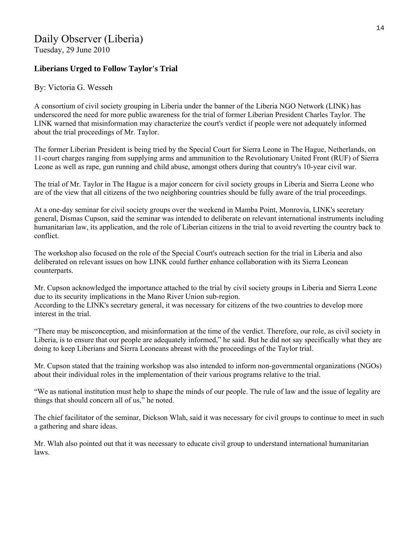# Daily Observer (Liberia)

Tuesday, 29 June 2010

## **Liberians Urged to Follow Taylor's Trial**

#### By: Victoria G. Wesseh

A consortium of civil society grouping in Liberia under the banner of the Liberia NGO Network (LINK) has underscored the need for more public awareness for the trial of former Liberian President Charles Taylor. The LINK warned that misinformation may characterize the court's verdict if people were not adequately informed about the trial proceedings of Mr. Taylor.

The former Liberian President is being tried by the Special Court for Sierra Leone in The Hague, Netherlands, on 11-court charges ranging from supplying arms and ammunition to the Revolutionary United Front (RUF) of Sierra Leone as well as rape, gun running and child abuse, amongst others during that country's 10-year civil war.

The trial of Mr. Taylor in The Hague is a major concern for civil society groups in Liberia and Sierra Leone who are of the view that all citizens of the two neighboring countries should be fully aware of the trial proceedings.

At a one-day seminar for civil society groups over the weekend in Mamba Point, Monrovia, LINK's secretary general, Dismas Cupson, said the seminar was intended to deliberate on relevant international instruments including humanitarian law, its application, and the role of Liberian citizens in the trial to avoid reverting the country back to conflict.

deliberated on relevant issues on how LINK could further enhance collaboration with its Sierra Leonean The workshop also focused on the role of the Special Court's outreach section for the trial in Liberia and also counterparts.

According to the LINK's secretary general, it was necessary for citizens of the two countries to develop more interest in the trial. Mr. Cupson acknowledged the importance attached to the trial by civil society groups in Liberia and Sierra Leone due to its security implications in the Mano River Union sub-region.

"There may be misconception, and misinformation at the time of the verdict. Therefore, our role, as civil society in Liberia, is to ensure that our people are adequately informed," he said. But he did not say specifically what they are doing to keep Liberians and Sierra Leoneans abreast with the proceedings of the Taylor trial.

Mr. Cupson stated that the training workshop was also intended to inform non-governmental organizations (NGOs) about their individual roles in the implementation of their various programs relative to the trial.

"We as national institution must help to shape the minds of our people. The rule of law and the issue of legality are things that should concern all of us," he noted.

The chief facilitator of the seminar, Dickson Wlah, said it was necessary for civil groups to continue to meet in such a gathering and share ideas.

Mr. Wlah also pointed out that it was necessary to educate civil group to understand international humanitarian laws.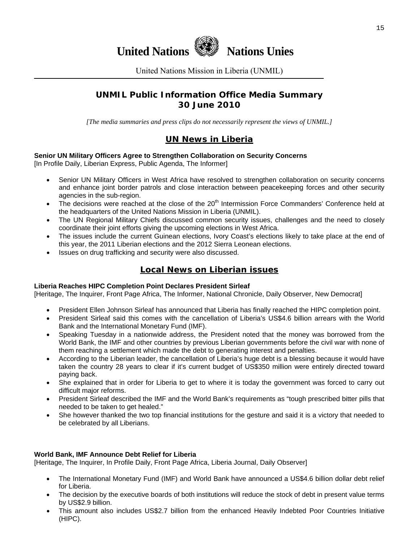



United Nations Mission in Liberia (UNMIL)

## **UNMIL Public Information Office Media Summary 30 June 2010**

*[The media summaries and press clips do not necessarily represent the views of UNMIL.]* 

## **UN News in Liberia**

## **Senior UN Military Officers Agree to Strengthen Collaboration on Security Concerns**

[In Profile Daily, Liberian Express, Public Agenda, The Informer]

- Senior UN Military Officers in West Africa have resolved to strengthen collaboration on security concerns and enhance joint border patrols and close interaction between peacekeeping forces and other security agencies in the sub-region.
- The decisions were reached at the close of the  $20<sup>th</sup>$  Intermission Force Commanders' Conference held at the headquarters of the United Nations Mission in Liberia (UNMIL).
- The UN Regional Military Chiefs discussed common security issues, challenges and the need to closely coordinate their joint efforts giving the upcoming elections in West Africa.
- The issues include the current Guinean elections, Ivory Coast's elections likely to take place at the end of this year, the 2011 Liberian elections and the 2012 Sierra Leonean elections.
- Issues on drug trafficking and security were also discussed.

## **Local News on Liberian issues**

## **Liberia Reaches HIPC Completion Point Declares President Sirleaf**

[Heritage, The Inquirer, Front Page Africa, The Informer, National Chronicle, Daily Observer, New Democrat]

- President Ellen Johnson Sirleaf has announced that Liberia has finally reached the HIPC completion point.
- President Sirleaf said this comes with the cancellation of Liberia's US\$4.6 billion arrears with the World Bank and the International Monetary Fund (IMF).
- Speaking Tuesday in a nationwide address, the President noted that the money was borrowed from the World Bank, the IMF and other countries by previous Liberian governments before the civil war with none of them reaching a settlement which made the debt to generating interest and penalties.
- According to the Liberian leader, the cancellation of Liberia's huge debt is a blessing because it would have taken the country 28 years to clear if it's current budget of US\$350 million were entirely directed toward paying back.
- She explained that in order for Liberia to get to where it is today the government was forced to carry out difficult major reforms.
- President Sirleaf described the IMF and the World Bank's requirements as "tough prescribed bitter pills that needed to be taken to get healed."
- She however thanked the two top financial institutions for the gesture and said it is a victory that needed to be celebrated by all Liberians.

## **Bank, IMF Announce Debt Relief for Liberia World**

[Heritage, The Inquirer, In Profile Daily, Front Page Africa, Liberia Journal, Daily Observer]

- The International Monetary Fund (IMF) and World Bank have announced a US\$4.6 billion dollar debt relief for Liberia.
- The decision by the executive boards of both institutions will reduce the stock of debt in present value terms by US\$2.9 billion.
- This amount also includes US\$2.7 billion from the enhanced Heavily Indebted Poor Countries Initiative (HIPC).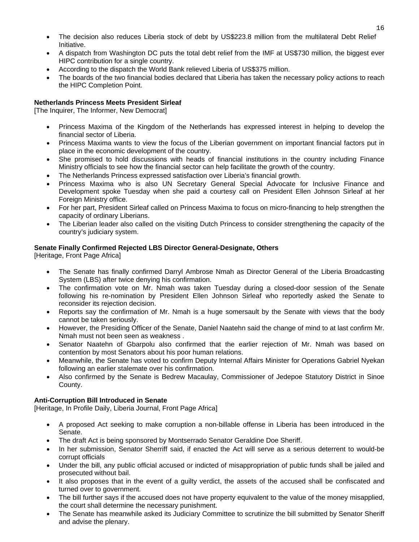- The decision also reduces Liberia stock of debt by US\$223.8 million from the multilateral Debt Relief Initiative.
- A dispatch from Washington DC puts the total debt relief from the IMF at US\$730 million, the biggest ever HIPC contribution for a sin gle country.
- According to the dispatch the World Bank relieved Liberia of US\$375 million.
- The boards of the two financial bodies declared that Liberia has taken the necessary policy actions to reach the HIPC Completion Point.

#### **Netherlands Princess Meets President Sirlea f**

[The Inquirer, The Informer, New Democrat]

- Princess Maxima of the Kingdom of the Netherlands has expressed interest in helping to develop the financial sector of Liberia.
- Princess Maxima wants to view the focus of the Liberian government on important financial factors put in place in the economic development of the country.
- She promised to hold discussions with heads of financial institutions in the country including Finance Ministry officials to see how the financial sector can help facilitate the growth of the country.
- The Netherlands Princess expressed satisfaction over Liberia's financial growth.
- Princess Maxima who is also UN Secretary General Special Advocate for Inclusive Finance and Development spoke Tuesday when she paid a courtesy call on President Ellen Johnson Sirleaf at her Foreign Ministry office.
- For her part, President Sirleaf called on Princess Maxima to focus on micro-financing to help strengthen the capacity of ordinary Liberians.
- The Liberian leader also called on the visiting Dutch Princess to consider strengthening the capacity of the country's judiciary system.

#### **Senate Finally Confirmed Rejected LBS Director General-Designate, Others**

[Heritage, Front Page Africa]

- The Senate has finally confirmed Darryl Ambrose Nmah as Director General of the Liberia Broadcasting System (LBS) after twice denying his confirmation.
- The confirmation vote on Mr. Nmah was taken Tuesday during a closed-door session of the Senate following his re-nomination by President Ellen Johnson Sirleaf who reportedly asked the Senate to reconsider its rejection decision.
- Reports say the confirmation of Mr. Nmah is a huge somersault by the Senate with views that the body cannot be taken seriously.
- However, the Presiding Officer of the Senate, Daniel Naatehn said the change of mind to at last confirm Mr. Nmah must not been seen as weakness .
- Senator Naatehn of Gbarpolu also confirmed that the earlier rejection of Mr. Nmah was based on contention by most Senators about his poor human relations.
- Meanwhile, the Senate has voted to confirm Deputy Internal Affairs Minister for Operations Gabriel Nyekan following an earlier stalemate over his confirmation.
- Also confirmed by the Senate is Bedrew Macaulay, Commissioner of Jedepoe Statutory District in Sinoe County.

#### **Anti-Corruption Bill Introduced in Senate**

[Heritage, In Profile Daily, Liberia Journal, Front Page Africa]

- A proposed Act seeking to make corruption a non-billable offense in Liberia has been introduced in the Senate.
- The draft Act is being sponsored by Montserrado Senator Geraldine Doe Sheriff.
- In her submission, Senator Sherriff said, if enacted the Act will serve as a serious deterrent to would-be corrupt officials
- Under the bill, any public official accused or indicted of misappropriation of public funds shall be jailed and prosecuted without bail.
- It also proposes that in the event of a guilty verdict, the assets of the accused shall be confiscated and turned over to government.
- The bill further says if the accused does not have property equivalent to the value of the money misapplied, the court shall determine the necessary punishment.
- and advise the plenary. • The Senate has meanwhile asked its Judiciary Committee to scrutinize the bill submitted by Senator Sheriff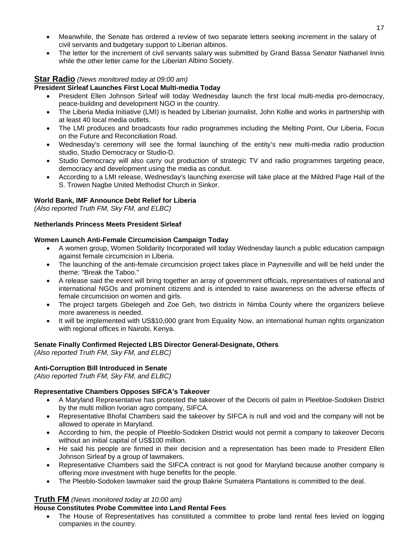- civil servants and budgetary support to Liberian albinos. • Meanwhile, the Senate has ordered a review of two separate letters seeking increment in the salary of
- while the other letter came for the Liberian Albino Society. • The letter for the increment of civil servants salary was submitted by Grand Bassa Senator Nathaniel Innis

## **Star Radio** *(News monitored today at 09:00 am)*

#### **President Sirleaf Launches First Local Multi-media Today**

- President Ellen Johnson Sirleaf will today Wednesday launch the first local multi-media pro-democracy, peace-building and development NGO in the country.
- The Liberia Media Initiative (LMI) is headed by Liberian journalist, John Kollie and works in partnership with at least 40 local media outlets.
- on the Future and Reconciliation Road. • The LMI produces and broadcasts four radio programmes including the Melting Point, Our Liberia, Focus
- Wednesday's ceremony will see the formal launching of the entity's new multi-media radio production studio, Studio Democracy or Studio-D.
- Studio Democracy will also carry out production of strategic TV and radio programmes targeting peace, democracy and development using the media as conduit.
- According to a LMI release, Wednesday's launching exercise will take place at the Mildred Page Hall of the S. Trowen Nagbe United Methodist Church in Sinkor.

#### **World Bank, IMF Announce Debt Relief for Liberia**

*(Also reported Truth FM, Sky FM, and ELBC)* 

#### **Netherlands Princess Meets President Sirleaf**

#### **omen Launch Anti-Female Circumcision Campaign Today W**

- A women group, Women Solidarity Incorporated will today Wednesday launch a public education campaign against female circumcision in Liberia.
- The launching of the anti-female circumcision project takes place in Paynesville and will be held under the theme: "Break the Taboo."
- A release said the event will bring together an array of government officials, representatives of national and international NGOs and prominent citizens and is intended to raise awareness on the adverse effects of female circumcision on women and girls.
- The project targets Gbelegeh and Zoe Geh, two districts in Nimba County where the organizers believe more awareness is needed.
- It will be implemented with US\$10,000 grant from Equality Now, an international human rights organization with regional offices in Nairobi, Kenya.

## **Senate Finally Confirmed Rejected LBS Director General-Designate, Others**

*(Also reported Truth FM, Sky FM, and ELBC)* 

#### **Anti-Corruption Bill Introduced in Senate**

*(Also reported Truth FM, Sky FM, and ELBC)* 

#### **epresentative Chambers Opposes SIFCA's Takeover R**

- A Maryland Representative has protested the takeover of the Decoris oil palm in Pleebloe-Sodoken District by the multi million Ivorian agro company, SIFCA.
- Representative Bhofal Chambers said the takeover by SIFCA is null and void and the company will not be allowed to operate in Maryland.
- According to him, the people of Pleeblo-Sodoken District would not permit a company to takeover Decoris without an initial capital of US\$100 million.
- Johnson Sirleaf by a group of lawmakers. • He said his people are firmed in their decision and a representation has been made to President Ellen
- offering more investment with huge benefits for the people. • Representative Chambers said the SIFCA contract is not good for Maryland because another company is
- The Pleeblo-Sodoken lawmaker said the group Bakrie Sumatera Plantations is committed to the deal.

## **Truth FM** *(News monitored today at 10:00 am)*

## **House Constitutes Probe Committee into Land Rental Fees**

• The House of Representatives has constituted a committee to probe land rental fees levied on logging companies in the country.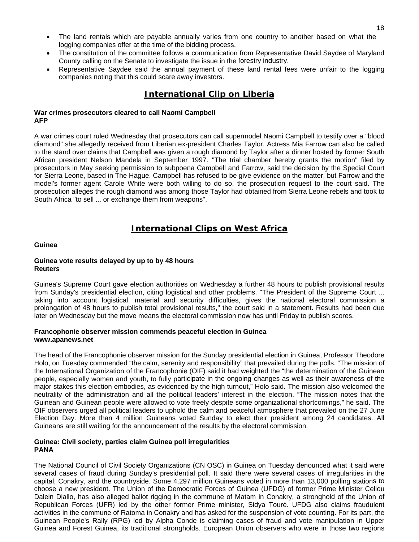- logging companies offer at the time of the bidding process. • The land rentals which are payable annually varies from one country to another based on what the
- County calling on the Senate to investigate the issue in the forestry industry. • The constitution of the committee follows a communication from Representative David Saydee of Maryland
- Representative Saydee said the annual payment of these land rental fees were unfair to the logging companies noting that this could scare away investors.

## **International Clip on Liberia**

#### **War crimes prosecutors cleared to call Naomi Campbell AFP**

A war crimes court ruled Wednesday that prosecutors can call supermodel Naomi Campbell to testify over a "blood to the stand over claims that Campbell was given a rough diamond by Taylor after a dinner hosted by former South prosecutors in May seeking permission to subpoena Campbell and Farrow, said the decision by the Special Court model's former agent Carole White were both willing to do so, the prosecution request to the court said. The rosecution alleges the rough diamond was among those Taylor had obtained from Sierra Leone rebels and took to p South Africa "to sell ... or exchange them from weapons". diamond" she allegedly received from Liberian ex-president Charles Taylor. Actress Mia Farrow can also be called African president Nelson Mandela in September 1997. "The trial chamber hereby grants the motion" filed by for Sierra Leone, based in The Hague. Campbell has refused to be give evidence on the matter, but Farrow and the

## **International Clips on West Africa**

#### **Guinea**

#### **Guinea vote results delayed by up to by 48 hours Reuters**

Guinea's Supreme Court gave election authorities on Wednesday a further 48 hours to publish provisional results from Sunday's presidential election, citing logistical and other problems. "The President of the Supreme Court ... taking into account logistical, material and security difficulties, gives the national electoral commission a prolongation of 48 hours to publish total provisional results," the court said in a statement. Results had been due later on Wednesday but the move means the electoral commission now has until Friday to publish scores.

#### Francophonie observer mission commends peaceful election in Guinea **www.apanews.net**

The head of the Francophonie observer mission for the Sunday presidential election in Guinea, Professor Theodore Holo, on Tuesday commended "the calm, serenity and responsibility" that prevailed during the polls. "The mission of the International Organization of the Francophonie (OIF) said it had weighted the "the determination of the Guinean people, especially women and youth, to fully participate in the ongoing changes as well as their awareness of the major stakes this election embodies, as evidenced by the high turnout," Holo said. The mission also welcomed the Guineans are still waiting for the announcement of the results by the electoral commission. neutrality of the administration and all the political leaders' interest in the election. "The mission notes that the Guinean and Guinean people were allowed to vote freely despite some organizational shortcomings," he said. The OIF observers urged all political leaders to uphold the calm and peaceful atmosphere that prevailed on the 27 June Election Day. More than 4 million Guineans voted Sunday to elect their president among 24 candidates. All

#### **Guinea: Civil society, parties claim Guinea poll irregularities PANA**

several cases of fraud during Sunday's presidential poll. It said there were several cases of irregularities in the capital, Conakry, and the countryside. Some 4.297 million Guineans voted in more than 13,000 polling stations to choose a new president. The Union of the Democratic Forces of Guinea (UFDG) of former Prime Minister Cellou Dalein Diallo, has also alleged ballot rigging in the commune of Matam in Conakry, a stronghold of the Union of Republican Forces (UFR) led by the other former Prime minister, Sidya Touré. UFDG also claims fraudulent Guinea and Forest Guinea, its traditional strongholds. European Union observers who were in those two regions The National Council of Civil Society Organizations (CN OSC) in Guinea on Tuesday denounced what it said were activities in the commune of Ratoma in Conakry and has asked for the suspension of vote counting. For its part, the Guinean People's Rally (RPG) led by Alpha Conde is claiming cases of fraud and vote manipulation in Upper